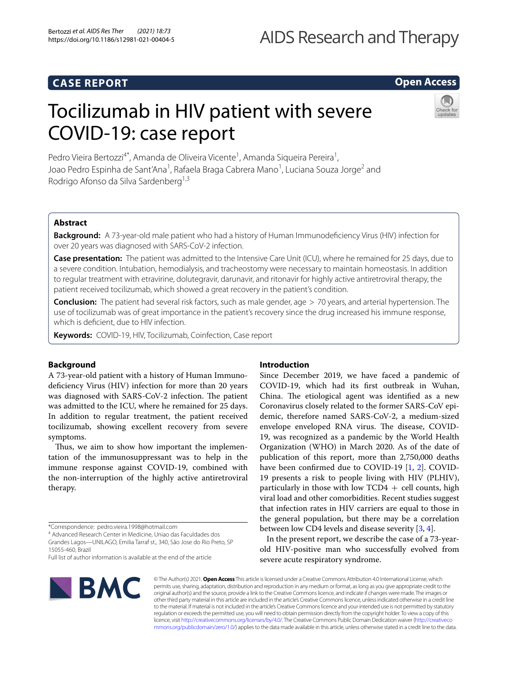# **CASE REPORT**

# **Open Access**

# Tocilizumab in HIV patient with severe COVID-19: case report



Pedro Vieira Bertozzi<sup>4\*</sup>, Amanda de Oliveira Vicente<sup>1</sup>, Amanda Siqueira Pereira<sup>1</sup>, Joao Pedro Espinha de Sant'Ana<sup>1</sup>, Rafaela Braga Cabrera Mano<sup>1</sup>, Luciana Souza Jorge<sup>2</sup> and Rodrigo Afonso da Silva Sardenberg<sup>1,3</sup>

# **Abstract**

**Background:** A 73-year-old male patient who had a history of Human Immunodefciency Virus (HIV) infection for over 20 years was diagnosed with SARS-CoV-2 infection.

**Case presentation:** The patient was admitted to the Intensive Care Unit (ICU), where he remained for 25 days, due to a severe condition. Intubation, hemodialysis, and tracheostomy were necessary to maintain homeostasis. In addition to regular treatment with etravirine, dolutegravir, darunavir, and ritonavir for highly active antiretroviral therapy, the patient received tocilizumab, which showed a great recovery in the patient's condition.

**Conclusion:** The patient had several risk factors, such as male gender, age > 70 years, and arterial hypertension. The use of tocilizumab was of great importance in the patient's recovery since the drug increased his immune response, which is defcient, due to HIV infection.

**Keywords:** COVID-19, HIV, Tocilizumab, Coinfection, Case report

# **Background**

A 73-year-old patient with a history of Human Immunodeficiency Virus (HIV) infection for more than 20 years was diagnosed with SARS-CoV-2 infection. The patient was admitted to the ICU, where he remained for 25 days. In addition to regular treatment, the patient received tocilizumab, showing excellent recovery from severe symptoms.

Thus, we aim to show how important the implementation of the immunosuppressant was to help in the immune response against COVID-19, combined with the non-interruption of the highly active antiretroviral therapy.

\*Correspondence: pedro.vieira.1998@hotmail.com

4 Advanced Research Center in Medicine, Uniao das Faculdades dos Grandes Lagos—UNILAGO, Emilia Tarraf st., 340, São Jose do Rio Preto, SP 15055-460, Brazil

### **Introduction**

Since December 2019, we have faced a pandemic of COVID-19, which had its frst outbreak in Wuhan, China. The etiological agent was identified as a new Coronavirus closely related to the former SARS-CoV epidemic, therefore named SARS-CoV-2, a medium-sized envelope enveloped RNA virus. The disease, COVID-19, was recognized as a pandemic by the World Health Organization (WHO) in March 2020. As of the date of publication of this report, more than 2,750,000 deaths have been confirmed due to COVID-[1](#page-4-0)9 [1, [2](#page-4-1)]. COVID-19 presents a risk to people living with HIV (PLHIV), particularly in those with low TCD4  $+$  cell counts, high viral load and other comorbidities. Recent studies suggest that infection rates in HIV carriers are equal to those in the general population, but there may be a correlation between low CD4 levels and disease severity [[3,](#page-4-2) [4](#page-4-3)].

In the present report, we describe the case of a 73-yearold HIV-positive man who successfully evolved from severe acute respiratory syndrome.



© The Author(s) 2021. **Open Access** This article is licensed under a Creative Commons Attribution 4.0 International License, which permits use, sharing, adaptation, distribution and reproduction in any medium or format, as long as you give appropriate credit to the original author(s) and the source, provide a link to the Creative Commons licence, and indicate if changes were made. The images or other third party material in this article are included in the article's Creative Commons licence, unless indicated otherwise in a credit line to the material. If material is not included in the article's Creative Commons licence and your intended use is not permitted by statutory regulation or exceeds the permitted use, you will need to obtain permission directly from the copyright holder. To view a copy of this licence, visit [http://creativecommons.org/licenses/by/4.0/.](http://creativecommons.org/licenses/by/4.0/) The Creative Commons Public Domain Dedication waiver ([http://creativeco](http://creativecommons.org/publicdomain/zero/1.0/) [mmons.org/publicdomain/zero/1.0/](http://creativecommons.org/publicdomain/zero/1.0/)) applies to the data made available in this article, unless otherwise stated in a credit line to the data.

Full list of author information is available at the end of the article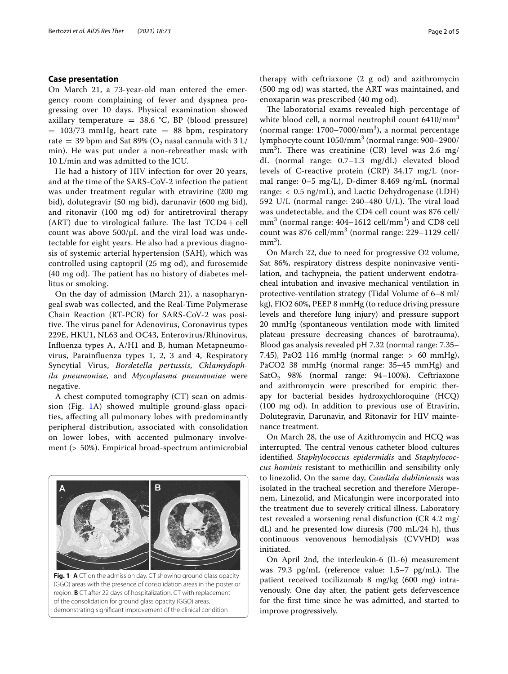#### **Case presentation**

On March 21, a 73-year-old man entered the emergency room complaining of fever and dyspnea progressing over 10 days. Physical examination showed axillary temperature =  $38.6$  °C, BP (blood pressure)  $= 103/73$  mmHg, heart rate  $= 88$  bpm, respiratory rate = 39 bpm and Sat 89% ( $O_2$  nasal cannula with 3 L/ min). He was put under a non-rebreather mask with 10 L/min and was admitted to the ICU.

He had a history of HIV infection for over 20 years, and at the time of the SARS-CoV-2 infection the patient was under treatment regular with etravirine (200 mg bid), dolutegravir (50 mg bid), darunavir (600 mg bid), and ritonavir (100 mg od) for antiretroviral therapy (ART) due to virological failure. The last  $TCD4 + cell$ count was above  $500/\mu L$  and the viral load was undetectable for eight years. He also had a previous diagnosis of systemic arterial hypertension (SAH), which was controlled using captopril (25 mg od), and furosemide  $(40 \text{ mg od})$ . The patient has no history of diabetes mellitus or smoking.

On the day of admission (March 21), a nasopharyngeal swab was collected, and the Real-Time Polymerase Chain Reaction (RT-PCR) for SARS-CoV-2 was positive. The virus panel for Adenovirus, Coronavirus types 229E, HKU1, NL63 and OC43, Enterovirus/Rhinovirus, Infuenza types A, A/H1 and B, human Metapneumovirus, Parainfuenza types 1, 2, 3 and 4, Respiratory Syncytial Virus, *Bordetella pertussis*, *Chlamydophila pneumoniae,* and *Mycoplasma pneumoniae* were negative.

A chest computed tomography (CT) scan on admission (Fig. [1](#page-1-0)A) showed multiple ground-glass opacities, afecting all pulmonary lobes with predominantly peripheral distribution, associated with consolidation on lower lobes, with accented pulmonary involvement (> 50%). Empirical broad-spectrum antimicrobial

<span id="page-1-0"></span>

therapy with ceftriaxone (2 g od) and azithromycin (500 mg od) was started, the ART was maintained, and enoxaparin was prescribed (40 mg od).

The laboratorial exams revealed high percentage of white blood cell, a normal neutrophil count  $6410/mm<sup>3</sup>$ (normal range:  $1700 - 7000/mm^3$ ), a normal percentage lymphocyte count 1050/mm<sup>3</sup> (normal range: 900–2900/ mm<sup>3</sup>). There was creatinine (CR) level was 2.6 mg/ dL (normal range: 0.7–1.3 mg/dL) elevated blood levels of C-reactive protein (CRP) 34.17 mg/L (normal range: 0–5 mg/L), D-dimer 8.469 ng/mL (normal range: < 0.5 ng/mL), and Lactic Dehydrogenase (LDH) 592 U/L (normal range:  $240-480$  U/L). The viral load was undetectable, and the CD4 cell count was 876 cell/  $mm<sup>3</sup>$  (normal range: 404–1612 cell/mm<sup>3</sup>) and CD8 cell count was  $876$  cell/mm<sup>3</sup> (normal range:  $229-1129$  cell/  $mm<sup>3</sup>$ ).

On March 22, due to need for progressive O2 volume, Sat 86%, respiratory distress despite noninvasive ventilation, and tachypneia, the patient underwent endotracheal intubation and invasive mechanical ventilation in protective-ventilation strategy (Tidal Volume of 6–8 ml/ kg), FIO2 60%, PEEP 8 mmHg (to reduce driving pressure levels and therefore lung injury) and pressure support 20 mmHg (spontaneous ventilation mode with limited plateau pressure decreasing chances of barotrauma). Blood gas analysis revealed pH 7.32 (normal range: 7.35– 7.45), PaO2 116 mmHg (normal range: > 60 mmHg), PaCO2 38 mmHg (normal range: 35–45 mmHg) and Sat $O_2$  98% (normal range: 94-100%). Ceftriaxone and azithromycin were prescribed for empiric therapy for bacterial besides hydroxychloroquine (HCQ) (100 mg od). In addition to previous use of Etravirin, Dolutegravir, Darunavir, and Ritonavir for HIV maintenance treatment.

On March 28, the use of Azithromycin and HCQ was interrupted. The central venous catheter blood cultures identifed *Staphylococcus epidermidis* and *Staphylococcus hominis* resistant to methicillin and sensibility only to linezolid. On the same day, *Candida dubliniensis* was isolated in the tracheal secretion and therefore Meropenem, Linezolid, and Micafungin were incorporated into the treatment due to severely critical illness. Laboratory test revealed a worsening renal disfunction (CR 4.2 mg/ dL) and he presented low diuresis (700 mL/24 h), thus continuous venovenous hemodialysis (CVVHD) was initiated.

On April 2nd, the interleukin-6 (IL-6) measurement was 79.3  $pg/mL$  (reference value: 1.5–7  $pg/mL$ ). The patient received tocilizumab 8 mg/kg (600 mg) intravenously. One day after, the patient gets defervescence for the frst time since he was admitted, and started to improve progressively.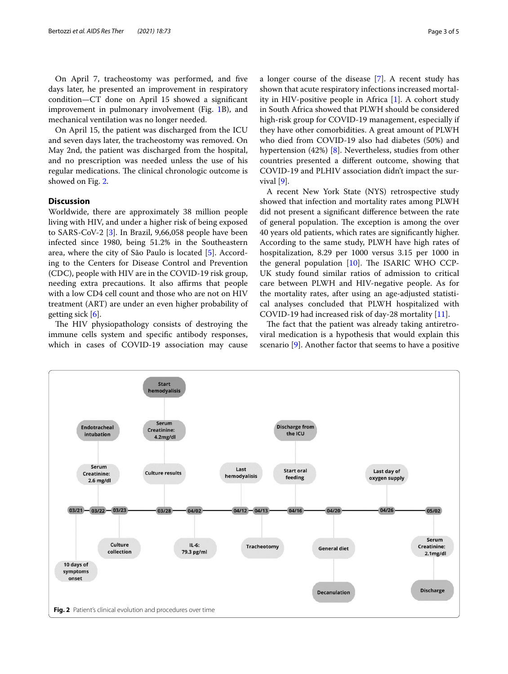On April 7, tracheostomy was performed, and fve days later, he presented an improvement in respiratory condition—CT done on April 15 showed a signifcant improvement in pulmonary involvement (Fig. [1B](#page-1-0)), and mechanical ventilation was no longer needed.

On April 15, the patient was discharged from the ICU and seven days later, the tracheostomy was removed. On May 2nd, the patient was discharged from the hospital, and no prescription was needed unless the use of his regular medications. The clinical chronologic outcome is showed on Fig. [2](#page-2-0).

#### **Discussion**

Worldwide, there are approximately 38 million people living with HIV, and under a higher risk of being exposed to SARS-CoV-2 [[3](#page-4-2)]. In Brazil, 9,66,058 people have been infected since 1980, being 51.2% in the Southeastern area, where the city of São Paulo is located [[5\]](#page-4-4). According to the Centers for Disease Control and Prevention (CDC), people with HIV are in the COVID-19 risk group, needing extra precautions. It also affirms that people with a low CD4 cell count and those who are not on HIV treatment (ART) are under an even higher probability of getting sick  $[6]$  $[6]$ .

The HIV physiopathology consists of destroying the immune cells system and specifc antibody responses, which in cases of COVID-19 association may cause a longer course of the disease [\[7](#page-4-6)]. A recent study has shown that acute respiratory infections increased mortality in HIV-positive people in Africa [\[1](#page-4-0)]. A cohort study in South Africa showed that PLWH should be considered high-risk group for COVID-19 management, especially if they have other comorbidities. A great amount of PLWH who died from COVID-19 also had diabetes (50%) and hypertension (42%) [[8\]](#page-4-7). Nevertheless, studies from other countries presented a diferent outcome, showing that COVID-19 and PLHIV association didn't impact the survival [\[9](#page-4-8)].

A recent New York State (NYS) retrospective study showed that infection and mortality rates among PLWH did not present a signifcant diference between the rate of general population. The exception is among the over 40 years old patients, which rates are signifcantly higher. According to the same study, PLWH have high rates of hospitalization, 8.29 per 1000 versus 3.15 per 1000 in the general population  $[10]$  $[10]$ . The ISARIC WHO CCP-UK study found similar ratios of admission to critical care between PLWH and HIV-negative people. As for the mortality rates, after using an age-adjusted statistical analyses concluded that PLWH hospitalized with COVID-19 had increased risk of day-28 mortality [[11](#page-4-10)].

The fact that the patient was already taking antiretroviral medication is a hypothesis that would explain this scenario [[9\]](#page-4-8). Another factor that seems to have a positive

<span id="page-2-0"></span>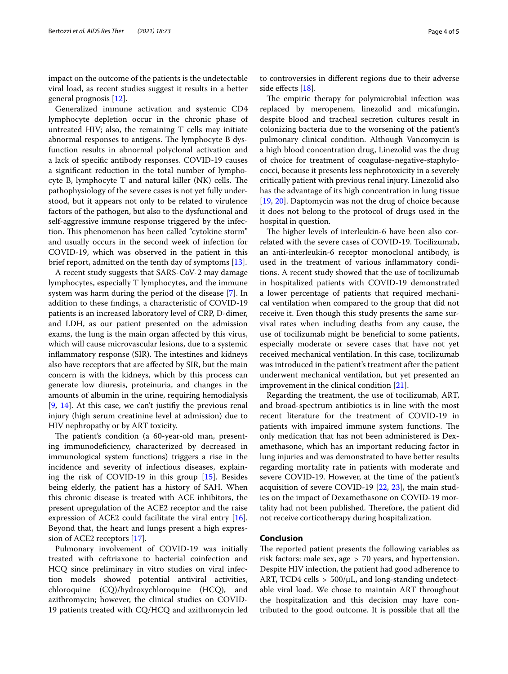impact on the outcome of the patients is the undetectable viral load, as recent studies suggest it results in a better general prognosis [\[12](#page-4-11)].

Generalized immune activation and systemic CD4 lymphocyte depletion occur in the chronic phase of untreated HIV; also, the remaining T cells may initiate abnormal responses to antigens. The lymphocyte B dysfunction results in abnormal polyclonal activation and a lack of specifc antibody responses. COVID-19 causes a signifcant reduction in the total number of lymphocyte B, lymphocyte  $T$  and natural killer (NK) cells. The pathophysiology of the severe cases is not yet fully understood, but it appears not only to be related to virulence factors of the pathogen, but also to the dysfunctional and self-aggressive immune response triggered by the infection. This phenomenon has been called "cytokine storm" and usually occurs in the second week of infection for COVID-19, which was observed in the patient in this brief report, admitted on the tenth day of symptoms [[13](#page-4-12)].

A recent study suggests that SARS-CoV-2 may damage lymphocytes, especially T lymphocytes, and the immune system was harm during the period of the disease [[7\]](#page-4-6). In addition to these fndings, a characteristic of COVID-19 patients is an increased laboratory level of CRP, D-dimer, and LDH, as our patient presented on the admission exams, the lung is the main organ afected by this virus, which will cause microvascular lesions, due to a systemic inflammatory response (SIR). The intestines and kidneys also have receptors that are afected by SIR, but the main concern is with the kidneys, which by this process can generate low diuresis, proteinuria, and changes in the amounts of albumin in the urine, requiring hemodialysis [[9,](#page-4-8) [14\]](#page-4-13). At this case, we can't justify the previous renal injury (high serum creatinine level at admission) due to HIV nephropathy or by ART toxicity.

The patient's condition (a 60-year-old man, presenting immunodefciency, characterized by decreased in immunological system functions) triggers a rise in the incidence and severity of infectious diseases, explaining the risk of COVID-19 in this group [[15\]](#page-4-14). Besides being elderly, the patient has a history of SAH. When this chronic disease is treated with ACE inhibitors, the present upregulation of the ACE2 receptor and the raise expression of ACE2 could facilitate the viral entry [\[16](#page-4-15)]. Beyond that, the heart and lungs present a high expression of ACE2 receptors [[17\]](#page-4-16).

Pulmonary involvement of COVID-19 was initially treated with ceftriaxone to bacterial coinfection and HCQ since preliminary in vitro studies on viral infection models showed potential antiviral activities, chloroquine (CQ)/hydroxychloroquine (HCQ), and azithromycin; however, the clinical studies on COVID-19 patients treated with CQ/HCQ and azithromycin led to controversies in diferent regions due to their adverse side effects [\[18\]](#page-4-17).

The empiric therapy for polymicrobial infection was replaced by meropenem, linezolid and micafungin, despite blood and tracheal secretion cultures result in colonizing bacteria due to the worsening of the patient's pulmonary clinical condition. Although Vancomycin is a high blood concentration drug, Linezolid was the drug of choice for treatment of coagulase-negative-staphylococci, because it presents less nephrotoxicity in a severely critically patient with previous renal injury. Linezolid also has the advantage of its high concentration in lung tissue [[19,](#page-4-18) [20\]](#page-4-19). Daptomycin was not the drug of choice because it does not belong to the protocol of drugs used in the hospital in question.

The higher levels of interleukin-6 have been also correlated with the severe cases of COVID-19. Tocilizumab, an anti-interleukin-6 receptor monoclonal antibody, is used in the treatment of various infammatory conditions. A recent study showed that the use of tocilizumab in hospitalized patients with COVID-19 demonstrated a lower percentage of patients that required mechanical ventilation when compared to the group that did not receive it. Even though this study presents the same survival rates when including deaths from any cause, the use of tocilizumab might be benefcial to some patients, especially moderate or severe cases that have not yet received mechanical ventilation. In this case, tocilizumab was introduced in the patient's treatment after the patient underwent mechanical ventilation, but yet presented an improvement in the clinical condition [\[21](#page-4-20)].

Regarding the treatment, the use of tocilizumab, ART, and broad-spectrum antibiotics is in line with the most recent literature for the treatment of COVID-19 in patients with impaired immune system functions. The only medication that has not been administered is Dexamethasone, which has an important reducing factor in lung injuries and was demonstrated to have better results regarding mortality rate in patients with moderate and severe COVID-19. However, at the time of the patient's acquisition of severe COVID-19 [\[22,](#page-4-21) [23](#page-4-22)], the main studies on the impact of Dexamethasone on COVID-19 mortality had not been published. Therefore, the patient did not receive corticotherapy during hospitalization.

#### **Conclusion**

The reported patient presents the following variables as risk factors: male sex, age > 70 years, and hypertension. Despite HIV infection, the patient had good adherence to ART, TCD4 cells  $> 500/\mu L$ , and long-standing undetectable viral load. We chose to maintain ART throughout the hospitalization and this decision may have contributed to the good outcome. It is possible that all the